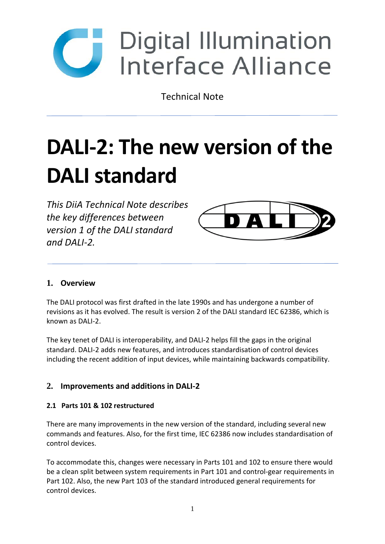

Technical Note

# **DALI-2: The new version of the DALI standard**

*This DiiA Technical Note describes the key differences between version 1 of the DALI standard and DALI-2.*



## **1. Overview**

The DALI protocol was first drafted in the late 1990s and has undergone a number of revisions as it has evolved. The result is version 2 of the DALI standard IEC 62386, which is known as DALI-2.

The key tenet of DALI is interoperability, and DALI-2 helps fill the gaps in the original standard. DALI-2 adds new features, and introduces standardisation of control devices including the recent addition of input devices, while maintaining backwards compatibility.

## **2. Improvements and additions in DALI-2**

#### **2.1 Parts 101 & 102 restructured**

There are many improvements in the new version of the standard, including several new commands and features. Also, for the first time, IEC 62386 now includes standardisation of control devices.

To accommodate this, changes were necessary in Parts 101 and 102 to ensure there would be a clean split between system requirements in Part 101 and control-gear requirements in Part 102. Also, the new Part 103 of the standard introduced general requirements for control devices.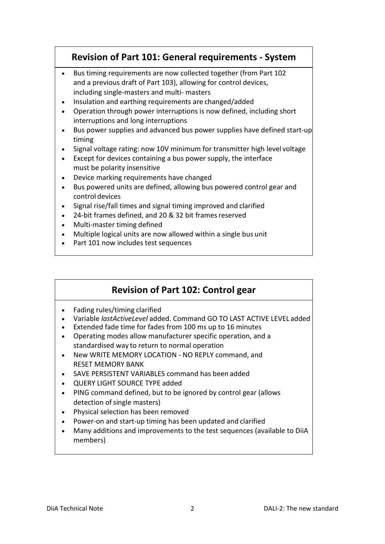# **Revision of Part 101: General requirements - System**

- Bus timing requirements are now collected together (from Part 102 and a previous draft of Part 103), allowing for control devices, including single-masters and multi- masters
- Insulation and earthing requirements are changed/added
- Operation through power interruptions is now defined, including short interruptions and long interruptions
- Bus power supplies and advanced bus power supplies have defined start-up timing
- Signal voltage rating: now 10V minimum for transmitter high level voltage
- Except for devices containing a bus power supply, the interface must be polarity insensitive
- Device marking requirements have changed
- Bus powered units are defined, allowing bus powered control gear and control devices
- Signal rise/fall times and signal timing improved and clarified
- 24-bit frames defined, and 20 & 32 bit frames reserved
- Multi-master timing defined
- Multiple logical units are now allowed within a single bus unit
- Part 101 now includes test sequences

# **Revision of Part 102: Control gear**

- Fading rules/timing clarified
- Variable *lastActiveLevel* added. Command GO TO LAST ACTIVE LEVEL added
- Extended fade time for fades from 100 ms up to 16 minutes
- Operating modes allow manufacturer specific operation, and a standardised way to return to normal operation
- New WRITE MEMORY LOCATION NO REPLY command, and RESET MEMORY BANK
- SAVE PERSISTENT VARIABLES command has been added
- QUERY LIGHT SOURCE TYPE added
- PING command defined, but to be ignored by control gear (allows detection of single masters)
- Physical selection has been removed
- Power-on and start-up timing has been updated and clarified
- Many additions and improvements to the test sequences (available to DiiA members)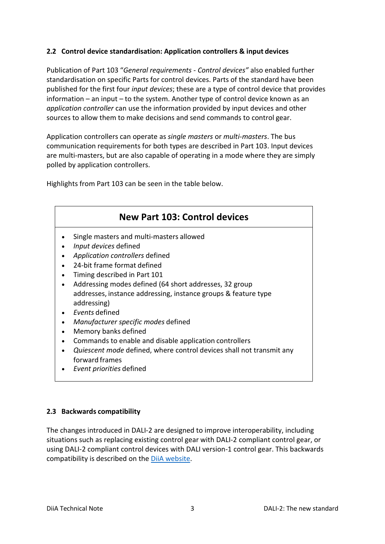#### **2.2 Control device standardisation: Application controllers & input devices**

Publication of Part 103 "*General requirements - Control devices"* also enabled further standardisation on specific Parts for control devices. Parts of the standard have been published for the first four *input devices*; these are a type of control device that provides information – an input – to the system. Another type of control device known as an *application controller* can use the information provided by input devices and other sources to allow them to make decisions and send commands to control gear.

Application controllers can operate as *single masters* or *multi-masters*. The bus communication requirements for both types are described in Part 103. Input devices are multi-masters, but are also capable of operating in a mode where they are simply polled by application controllers.

Highlights from Part 103 can be seen in the table below.



#### **2.3 Backwards compatibility**

The changes introduced in DALI-2 are designed to improve interoperability, including situations such as replacing existing control gear with DALI-2 compliant control gear, or using DALI-2 compliant control devices with DALI version-1 control gear. This backwards compatibility is described on the [DiiA website.](http://www.digitalilluminationinterface.org/dali/comparison.html)